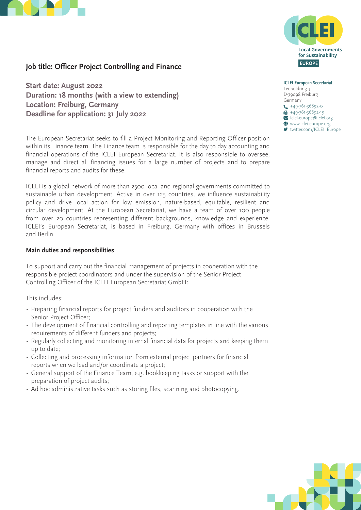



# **Job title: Officer Project Controlling and Finance**

**Start date: August 2022 Duration: 18 months (with a view to extending) Location: Freiburg, Germany Deadline for application: 31 July 2022** 

The European Secretariat seeks to fill a Project Monitoring and Reporting Officer position within its Finance team. The Finance team is responsible for the day to day accounting and financial operations of the ICLEI European Secretariat. It is also responsible to oversee, manage and direct all financing issues for a large number of projects and to prepare financial reports and audits for these.

ICLEI is a global network of more than 2500 local and regional governments committed to sustainable urban development. Active in over 125 countries, we influence sustainability policy and drive local action for low emission, nature-based, equitable, resilient and circular development. At the European Secretariat, we have a team of over 100 people from over 20 countries representing different backgrounds, knowledge and experience. ICLEI's European Secretariat, is based in Freiburg, Germany with offices in Brussels and Berlin.

#### **Main duties and responsibilities**:

To support and carry out the financial management of projects in cooperation with the responsible project coordinators and under the supervision of the Senior Project Controlling Officer of the ICLEI European Secretariat GmbH:.

This includes:

- Preparing financial reports for project funders and auditors in cooperation with the Senior Project Officer;
- The development of financial controlling and reporting templates in line with the various requirements of different funders and projects;
- Regularly collecting and monitoring internal financial data for projects and keeping them up to date;
- Collecting and processing information from external project partners for financial reports when we lead and/or coordinate a project;
- General support of the Finance Team, e.g. bookkeeping tasks or support with the preparation of project audits;
- Ad hoc administrative tasks such as storing files, scanning and photocopying.

**ICLEI European Secretariat** Leopoldring 3 D-79098 Freiburg Germany  $\leftarrow$  +49-761-36892-0  $+49-761-36892-19$  $\sum$  iclei-europe@iclei.org  $\bigoplus$  www.iclei-europe.org

■ [twitter.com/ICLEI\\_Europe](https://twitter.com/ICLEI_Europe)